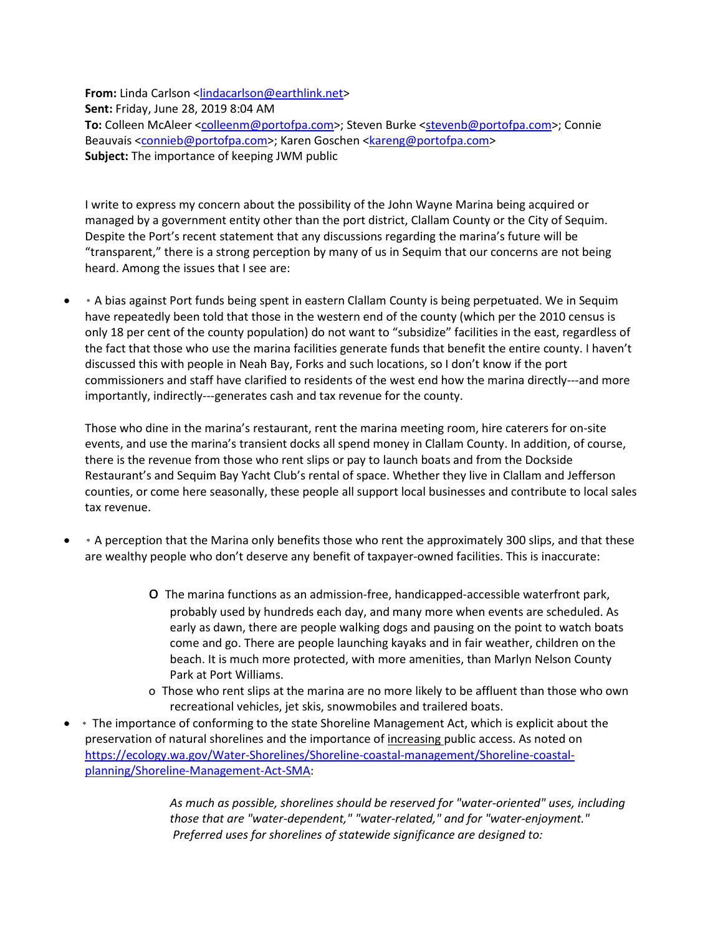**From:** Linda Carlson [<lindacarlson@earthlink.net>](mailto:lindacarlson@earthlink.net) **Sent:** Friday, June 28, 2019 8:04 AM **To:** Colleen McAleer [<colleenm@portofpa.com>](mailto:colleenm@portofpa.com); Steven Burke [<stevenb@portofpa.com>](mailto:stevenb@portofpa.com); Connie Beauvais [<connieb@portofpa.com>](mailto:connieb@portofpa.com); Karen Goschen [<kareng@portofpa.com>](mailto:kareng@portofpa.com) **Subject:** The importance of keeping JWM public

I write to express my concern about the possibility of the John Wayne Marina being acquired or managed by a government entity other than the port district, Clallam County or the City of Sequim. Despite the Port's recent statement that any discussions regarding the marina's future will be "transparent," there is a strong perception by many of us in Sequim that our concerns are not being heard. Among the issues that I see are:

• \* A bias against Port funds being spent in eastern Clallam County is being perpetuated. We in Sequim have repeatedly been told that those in the western end of the county (which per the 2010 census is only 18 per cent of the county population) do not want to "subsidize" facilities in the east, regardless of the fact that those who use the marina facilities generate funds that benefit the entire county. I haven't discussed this with people in Neah Bay, Forks and such locations, so I don't know if the port commissioners and staff have clarified to residents of the west end how the marina directly---and more importantly, indirectly---generates cash and tax revenue for the county.

Those who dine in the marina's restaurant, rent the marina meeting room, hire caterers for on-site events, and use the marina's transient docks all spend money in Clallam County. In addition, of course, there is the revenue from those who rent slips or pay to launch boats and from the Dockside Restaurant's and Sequim Bay Yacht Club's rental of space. Whether they live in Clallam and Jefferson counties, or come here seasonally, these people all support local businesses and contribute to local sales tax revenue.

- \* A perception that the Marina only benefits those who rent the approximately 300 slips, and that these are wealthy people who don't deserve any benefit of taxpayer-owned facilities. This is inaccurate:
	- o The marina functions as an admission-free, handicapped-accessible waterfront park, probably used by hundreds each day, and many more when events are scheduled. As early as dawn, there are people walking dogs and pausing on the point to watch boats come and go. There are people launching kayaks and in fair weather, children on the beach. It is much more protected, with more amenities, than Marlyn Nelson County Park at Port Williams.
	- o Those who rent slips at the marina are no more likely to be affluent than those who own recreational vehicles, jet skis, snowmobiles and trailered boats.
- \* The importance of conforming to the state Shoreline Management Act, which is explicit about the preservation of natural shorelines and the importance of increasing public access. As noted on [https://ecology.wa.gov/Water-Shorelines/Shoreline-coastal-management/Shoreline-coastal](https://ecology.wa.gov/Water-Shorelines/Shoreline-coastal-management/Shoreline-coastal-planning/Shoreline-Management-Act-SMA)[planning/Shoreline-Management-Act-SMA:](https://ecology.wa.gov/Water-Shorelines/Shoreline-coastal-management/Shoreline-coastal-planning/Shoreline-Management-Act-SMA)

*As much as possible, shorelines should be reserved for "water-oriented" uses, including those that are "water-dependent," "water-related," and for "water-enjoyment." Preferred uses for shorelines of statewide significance are designed to:*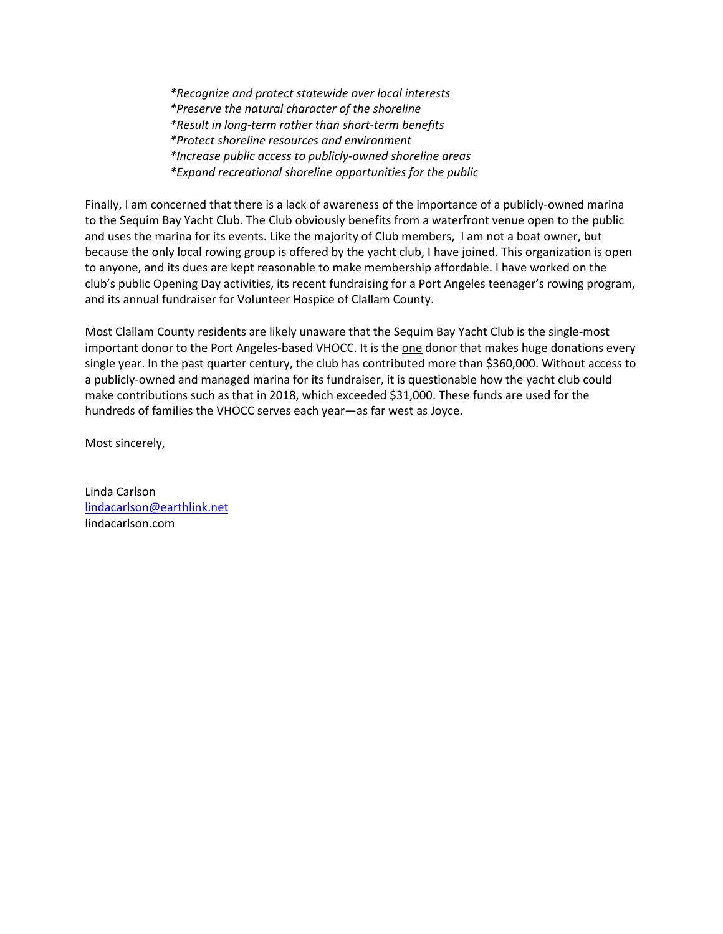*\*Recognize and protect statewide over local interests \*Preserve the natural character of the shoreline \*Result in long-term rather than short-term benefits \*Protect shoreline resources and environment \*Increase public access to publicly-owned shoreline areas \*Expand recreational shoreline opportunities for the public*

Finally, I am concerned that there is a lack of awareness of the importance of a publicly-owned marina to the Sequim Bay Yacht Club. The Club obviously benefits from a waterfront venue open to the public and uses the marina for its events. Like the majority of Club members, I am not a boat owner, but because the only local rowing group is offered by the yacht club, I have joined. This organization is open to anyone, and its dues are kept reasonable to make membership affordable. I have worked on the club's public Opening Day activities, its recent fundraising for a Port Angeles teenager's rowing program, and its annual fundraiser for Volunteer Hospice of Clallam County.

Most Clallam County residents are likely unaware that the Sequim Bay Yacht Club is the single-most important donor to the Port Angeles-based VHOCC. It is the one donor that makes huge donations every single year. In the past quarter century, the club has contributed more than \$360,000. Without access to a publicly-owned and managed marina for its fundraiser, it is questionable how the yacht club could make contributions such as that in 2018, which exceeded \$31,000. These funds are used for the hundreds of families the VHOCC serves each year—as far west as Joyce.

Most sincerely,

Linda Carlson [lindacarlson@earthlink.net](mailto:lindacarlson@earthlink.net) lindacarlson.com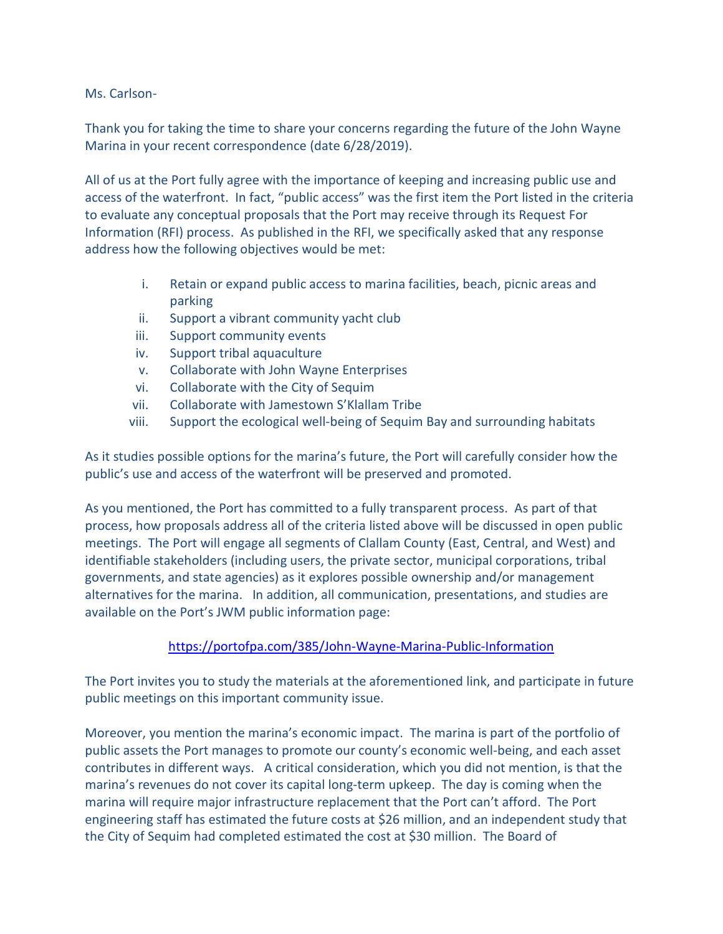## Ms. Carlson-

Thank you for taking the time to share your concerns regarding the future of the John Wayne Marina in your recent correspondence (date 6/28/2019).

All of us at the Port fully agree with the importance of keeping and increasing public use and access of the waterfront. In fact, "public access" was the first item the Port listed in the criteria to evaluate any conceptual proposals that the Port may receive through its Request For Information (RFI) process. As published in the RFI, we specifically asked that any response address how the following objectives would be met:

- i. Retain or expand public access to marina facilities, beach, picnic areas and parking
- ii. Support a vibrant community yacht club
- iii. Support community events
- iv. Support tribal aquaculture
- v. Collaborate with John Wayne Enterprises
- vi. Collaborate with the City of Sequim
- vii. Collaborate with Jamestown S'Klallam Tribe
- viii. Support the ecological well-being of Sequim Bay and surrounding habitats

As it studies possible options for the marina's future, the Port will carefully consider how the public's use and access of the waterfront will be preserved and promoted.

As you mentioned, the Port has committed to a fully transparent process. As part of that process, how proposals address all of the criteria listed above will be discussed in open public meetings. The Port will engage all segments of Clallam County (East, Central, and West) and identifiable stakeholders (including users, the private sector, municipal corporations, tribal governments, and state agencies) as it explores possible ownership and/or management alternatives for the marina. In addition, all communication, presentations, and studies are available on the Port's JWM public information page:

## <https://portofpa.com/385/John-Wayne-Marina-Public-Information>

The Port invites you to study the materials at the aforementioned link, and participate in future public meetings on this important community issue.

Moreover, you mention the marina's economic impact. The marina is part of the portfolio of public assets the Port manages to promote our county's economic well-being, and each asset contributes in different ways. A critical consideration, which you did not mention, is that the marina's revenues do not cover its capital long-term upkeep. The day is coming when the marina will require major infrastructure replacement that the Port can't afford. The Port engineering staff has estimated the future costs at \$26 million, and an independent study that the City of Sequim had completed estimated the cost at \$30 million. The Board of